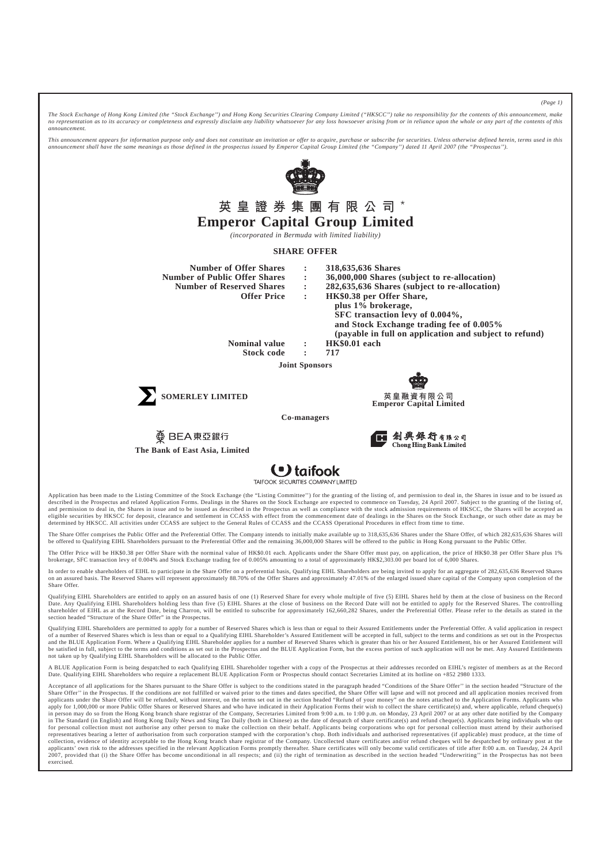*The Stock Exchange of Hong Kong Limited (the "Stock Exchange'') and Hong Kong Securities Clearing Company Limited ("HKSCC'') take no responsibility for the contents of this announcement, make no representation as to its accuracy or completeness and expressly disclaim any liability whatsoever for any loss howsoever arising from or in reliance upon the whole or any part of the contents of this announcement.*

*This announcement appears for information purpose only and does not constitute an invitation or offer to acquire, purchase or subscribe for securities. Unless otherwise defined herein, terms used in this announcement shall have the same meanings as those defined in the prospectus issued by Emperor Capital Group Limited (the "Company'') dated 11 April 2007 (the "Prospectus'').*



## 英 皇 證 券 集 團 有 限 公 司 \* **Emperor Capital Group Limited**

*(incorporated in Bermuda with limited liability)*

## **SHARE OFFER**

**Number of Offer Shares : 318,635,636 Shares**

- -

**Number of Public Offer Shares : 36,000,000 Shares (subject to re-allocation) Number of Reserved Shares : 282,635,636 Shares (subject to re-allocation) Offer Price : HK\$0.38 per Offer Share, plus 1% brokerage, SFC transaction levy of 0.004%, and Stock Exchange trading fee of 0.005% (payable in full on application and subject to refund)**

> **Nominal value : HK\$0.01 each Stock code : 717**

> > **Joint Sponsors**





**Emperor Capital Limited**

**Co-managers**

 $\overline{\textcircled{\bigcirc}}$  BEA 東亞銀行 **The Bank of East Asia, Limited**

創興銀行有限公司<br>Chong Hing Bank Limited



Application has been made to the Listing Committee of the Stock Exchange (the "Listing Committee") for the granting of the listing of, and permission to deal in, the Shares in issue and to be issued as described in the Prospectus and related Application Forms. Dealings in the Shares on the Stock Exchange are expected to commence on Tuesday, 24 April 2007. Subject to the granting of the listing of, and permission to deal in, the Shares in issue and to be issued as described in the Prospectus as well as compliance with the stock admission requirements of HKSCC, the Shares will be accepted as eligible securities by HKSCC for deposit, clearance and settlement in CCASS with effect from the commencement date of dealings in the Shares on the Stock Exchange, or such other date as may be determined by HKSCC. All activities under CCASS are subject to the General Rules of CCASS and the CCASS Operational Procedures in effect from time to time.

The Share Offer comprises the Public Offer and the Preferential Offer. The Company intends to initially make available up to 318,635,636 Shares under the Share Offer, of which 282,635,636 Shares will be offered to Qualifying EIHL Shareholders pursuant to the Preferential Offer and the remaining 36,000,000 Shares will be offered to the public in Hong Kong pursuant to the Public Offer.

The Offer Price will be HK\$0.38 per Offer Share with the norminal value of HK\$0.01 each. Applicants under the Share Offer must pay, on application, the price of HK\$0.38 per Offer Share plus 1% brokerage, SFC transaction levy of 0.004% and Stock Exchange trading fee of 0.005% amounting to a total of approximately HK\$2,303.00 per board lot of 6,000 Shares.

In order to enable shareholders of EIHL to participate in the Share Offer on a preferential basis, Qualifying EIHL Shareholders are being invited to apply for an aggregate of 282,635,636 Reserved Shares on an assured basis. The Reserved Shares will represent approximately 88.70% of the Offer Shares and approximately 47.01% of the enlarged issued share capital of the Company upon completion of the Share Offer.

Qualifying EIHL Shareholders are entitled to apply on an assured basis of one (1) Reserved Share for every whole multiple of five (5) EIHL Shares held by them at the close of business on the Record Date. Any Qualifying EIHL Shareholders holding less than five (5) EIHL Shares at the close of business on the Record Date will not be entitled to apply for the Reserved Shares. The controlling shareholder of EIHL as at the Record Date, being Charron, will be entitled to subscribe for approximately 162,660,282 Shares, under the Preferential Offer. Please refer to the details as stated in the section headed "Structure of the Share Offer" in the Prospectus.

Qualifying EIHL Shareholders are permitted to apply for a number of Reserved Shares which is less than or equal to their Assured Entitlements under the Preferential Offer. A valid application in respect of a number of Reserved Shares which is less than or equal to a Qualifying EIHL Shareholder's Assured Entitlement will be accepted in full, subject to the terms and conditions as set out in the Prospectus and the BLUE Application Form. Where a Qualifying EIHL Shareholder applies for a number of Reserved Shares which is greater than his or her Assured Entitlement, his or her Assured Entitlement will be satisfied in full, subject to the terms and conditions as set out in the Prospectus and the BLUE Application Form, but the excess portion of such application will not be met. Any Assured Entitlements not taken up by Qualifying EIHL Shareholders will be allocated to the Public Offer.

A BLUE Application Form is being despatched to each Qualifying EIHL Shareholder together with a copy of the Prospectus at their addresses recorded on EIHL's register of members as at the Record Date. Qualifying EIHL Shareholders who require a replacement BLUE Application Form or Prospectus should contact Secretaries Limited at its hotline on +852 2980 1333.

Acceptance of all applications for the Shares pursuant to the Share Offer is subject to the conditions stated in the paragraph headed "Conditions of the Share Offer" in the section headed "Structure of the Share Offer'' in the Prospectus. If the conditions are not fulfilled or waived prior to the times and dates specified, the Share Offer will lapse and will not proceed and all application monies received from applicants under the Share Offer will be refunded, without interest, on the terms set out in the section headed "Refund of your money" on the notes attached to the Application Forms. Applicants who apply for 1,000,000 or more Public Offer Shares or Reserved Shares and who have indicated in their Application Forms their wish to collect the share certificate(s) and, where applicable, refund cheque(s) in person may do so from the Hong Kong branch share registrar of the Company, Secretaries Limited from 9:00 a.m. to 1:00 p.m. on Monday, 23 April 2007 or at any other date notified by the Company in The Standard (in English) and Hong Kong Daily News and Sing Tao Daily (both in Chinese) as the date of despatch of share certificate(s) and refund cheque(s). Applicants being individuals who opt for personal collection must not authorise any other person to make the collection on their behalf. Applicants being corporations who opt for personal collection must attend by their authorised representatives bearing a letter of authorisation from such corporation stamped with the corporation's chop. Both individuals and authorised representatives (if applicable) must produce, at the time of collection, evidence of identity acceptable to the Hong Kong branch share registrar of the Company. Uncollected share certificates and/or refund cheques will be despatched by ordinary post at the applicants' own risk to the addresses specified in the relevant Application Forms promptly thereafter. Share certificates will only become valid certificates of title after 8:00 a.m. on Tuesday, 24 April 2007, provided that (i) the Share Offer has become unconditional in all respects; and (ii) the right of termination as described in the section headed "Underwriting" in the Prospectus has not been exercised.